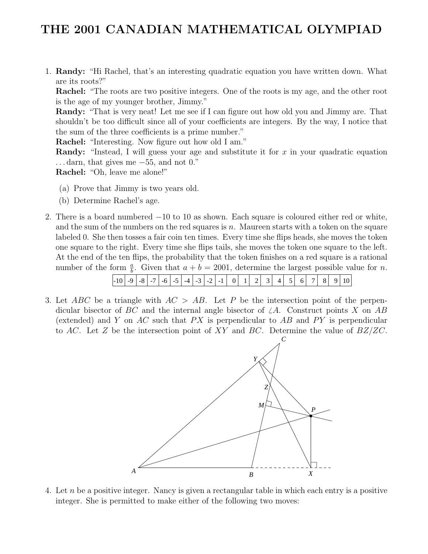## THE 2001 CANADIAN MATHEMATICAL OLYMPIAD

1. Randy: "Hi Rachel, that's an interesting quadratic equation you have written down. What are its roots?"

Rachel: "The roots are two positive integers. One of the roots is my age, and the other root is the age of my younger brother, Jimmy."

Randy: "That is very neat! Let me see if I can figure out how old you and Jimmy are. That shouldn't be too difficult since all of your coefficients are integers. By the way, I notice that the sum of the three coefficients is a prime number."

Rachel: "Interesting. Now figure out how old I am."

Randy: "Instead, I will guess your age and substitute it for x in your quadratic equation . . . darn, that gives me −55, and not 0."

Rachel: "Oh, leave me alone!"

- (a) Prove that Jimmy is two years old.
- (b) Determine Rachel's age.
- 2. There is a board numbered −10 to 10 as shown. Each square is coloured either red or white, and the sum of the numbers on the red squares is  $n$ . Maureen starts with a token on the square labeled 0. She then tosses a fair coin ten times. Every time she flips heads, she moves the token one square to the right. Every time she flips tails, she moves the token one square to the left. At the end of the ten flips, the probability that the token finishes on a red square is a rational number of the form  $\frac{a}{b}$ . Given that  $a + b = 2001$ , determine the largest possible value for *n*.

| $-1$ () | - - |  | $-8$ $-7$ $+$ | $-6$ | $\sim$<br>- 1 | $-4$ | $\sqrt{2}$<br>$\sim$ $\sim$ | $\overline{\phantom{0}}$ | - - |  |  |  |  |  |  |  |  |  |  |  |
|---------|-----|--|---------------|------|---------------|------|-----------------------------|--------------------------|-----|--|--|--|--|--|--|--|--|--|--|--|
|---------|-----|--|---------------|------|---------------|------|-----------------------------|--------------------------|-----|--|--|--|--|--|--|--|--|--|--|--|

3. Let ABC be a triangle with  $AC > AB$ . Let P be the intersection point of the perpendicular bisector of BC and the internal angle bisector of  $\angle A$ . Construct points X on AB (extended) and Y on AC such that  $PX$  is perpendicular to AB and  $PY$  is perpendicular to AC. Let Z be the intersection point of XY and BC. Determine the value of  $BZ/ZC$ .



4. Let n be a positive integer. Nancy is given a rectangular table in which each entry is a positive integer. She is permitted to make either of the following two moves: